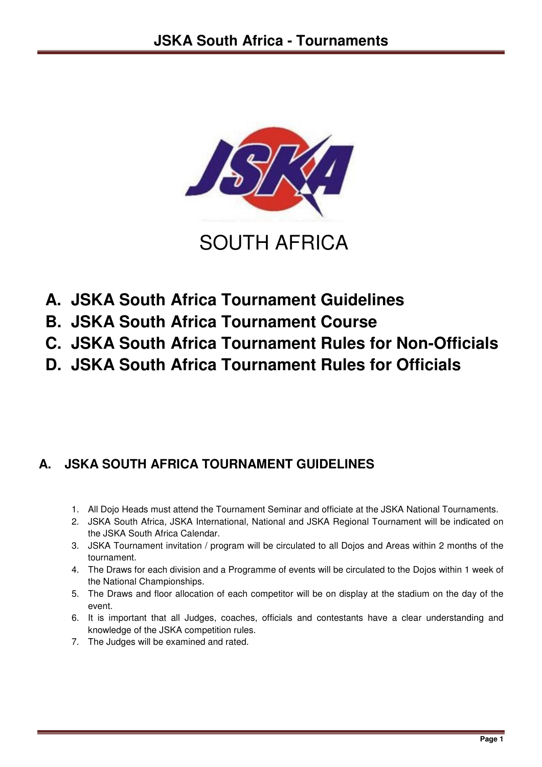

SOUTH AFRICA

- **A. JSKA South Africa Tournament Guidelines**
- **B. JSKA South Africa Tournament Course**
- **C. JSKA South Africa Tournament Rules for Non-Officials**
- **D. JSKA South Africa Tournament Rules for Officials**

# **A. JSKA SOUTH AFRICA TOURNAMENT GUIDELINES**

- 1. All Dojo Heads must attend the Tournament Seminar and officiate at the JSKA National Tournaments.
- 2. JSKA South Africa, JSKA International, National and JSKA Regional Tournament will be indicated on the JSKA South Africa Calendar.
- 3. JSKA Tournament invitation / program will be circulated to all Dojos and Areas within 2 months of the tournament.
- 4. The Draws for each division and a Programme of events will be circulated to the Dojos within 1 week of the National Championships.
- 5. The Draws and floor allocation of each competitor will be on display at the stadium on the day of the event.
- 6. It is important that all Judges, coaches, officials and contestants have a clear understanding and knowledge of the JSKA competition rules.
- 7. The Judges will be examined and rated.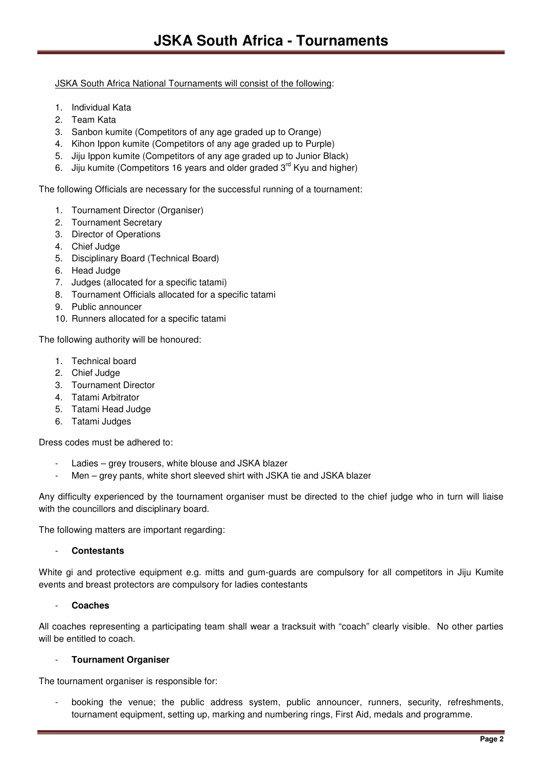JSKA South Africa National Tournaments will consist of the following:

- 1. Individual Kata
- 2. Team Kata
- 3. Sanbon kumite (Competitors of any age graded up to Orange)
- 4. Kihon Ippon kumite (Competitors of any age graded up to Purple)
- 5. Jiju Ippon kumite (Competitors of any age graded up to Junior Black)
- 6. Jiju kumite (Competitors 16 years and older graded  $3<sup>rd</sup>$  Kyu and higher)

The following Officials are necessary for the successful running of a tournament:

- 1. Tournament Director (Organiser)
- 2. Tournament Secretary
- 3. Director of Operations
- 4. Chief Judge
- 5. Disciplinary Board (Technical Board)
- 6. Head Judge
- 7. Judges (allocated for a specific tatami)
- 8. Tournament Officials allocated for a specific tatami
- 9. Public announcer
- 10. Runners allocated for a specific tatami

The following authority will be honoured:

- 1. Technical board
- 2. Chief Judge
- 3. Tournament Director
- 4. Tatami Arbitrator
- 5. Tatami Head Judge
- 6. Tatami Judges

Dress codes must be adhered to:

- Ladies grey trousers, white blouse and JSKA blazer
- Men grey pants, white short sleeved shirt with JSKA tie and JSKA blazer

Any difficulty experienced by the tournament organiser must be directed to the chief judge who in turn will liaise with the councillors and disciplinary board.

The following matters are important regarding:

# - **Contestants**

White gi and protective equipment e.g. mitts and gum-guards are compulsory for all competitors in Jiju Kumite events and breast protectors are compulsory for ladies contestants

# - **Coaches**

All coaches representing a participating team shall wear a tracksuit with "coach" clearly visible. No other parties will be entitled to coach.

#### - **Tournament Organiser**

The tournament organiser is responsible for:

booking the venue; the public address system, public announcer, runners, security, refreshments, tournament equipment, setting up, marking and numbering rings, First Aid, medals and programme.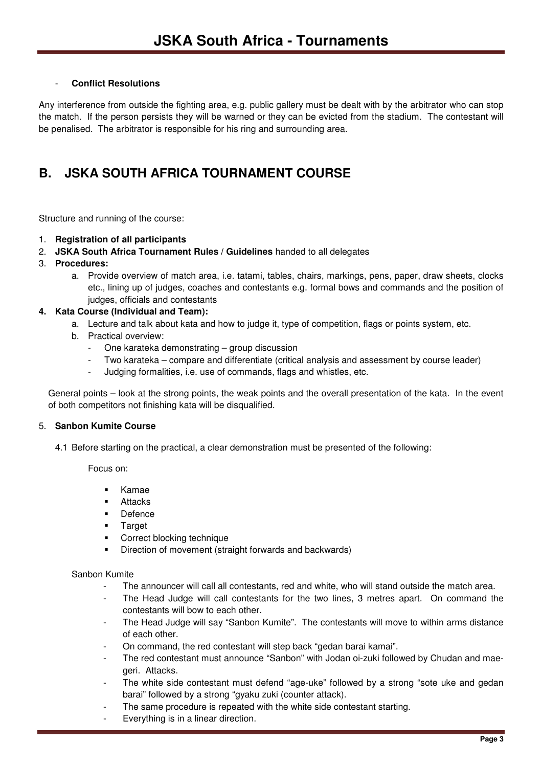# - **Conflict Resolutions**

Any interference from outside the fighting area, e.g. public gallery must be dealt with by the arbitrator who can stop the match. If the person persists they will be warned or they can be evicted from the stadium. The contestant will be penalised. The arbitrator is responsible for his ring and surrounding area.

# **B. JSKA SOUTH AFRICA TOURNAMENT COURSE**

Structure and running of the course:

- 1. **Registration of all participants**
- 2. **JSKA South Africa Tournament Rules / Guidelines** handed to all delegates
- 3. **Procedures:**
	- a. Provide overview of match area, i.e. tatami, tables, chairs, markings, pens, paper, draw sheets, clocks etc., lining up of judges, coaches and contestants e.g. formal bows and commands and the position of judges, officials and contestants

## **4. Kata Course (Individual and Team):**

- a. Lecture and talk about kata and how to judge it, type of competition, flags or points system, etc.
- b. Practical overview:
	- One karateka demonstrating group discussion
	- Two karateka compare and differentiate (critical analysis and assessment by course leader)
	- Judging formalities, i.e. use of commands, flags and whistles, etc.

General points – look at the strong points, the weak points and the overall presentation of the kata. In the event of both competitors not finishing kata will be disqualified.

#### 5. **Sanbon Kumite Course**

4.1 Before starting on the practical, a clear demonstration must be presented of the following:

Focus on:

- **Kamae**
- **Attacks**
- Defence
- **Target**
- Correct blocking technique
- Direction of movement (straight forwards and backwards)

#### Sanbon Kumite

- The announcer will call all contestants, red and white, who will stand outside the match area.
- The Head Judge will call contestants for the two lines, 3 metres apart. On command the contestants will bow to each other.
- The Head Judge will say "Sanbon Kumite". The contestants will move to within arms distance of each other.
- On command, the red contestant will step back "gedan barai kamai".
- The red contestant must announce "Sanbon" with Jodan oi-zuki followed by Chudan and maegeri. Attacks.
- The white side contestant must defend "age-uke" followed by a strong "sote uke and gedan barai" followed by a strong "gyaku zuki (counter attack).
- The same procedure is repeated with the white side contestant starting.
- Everything is in a linear direction.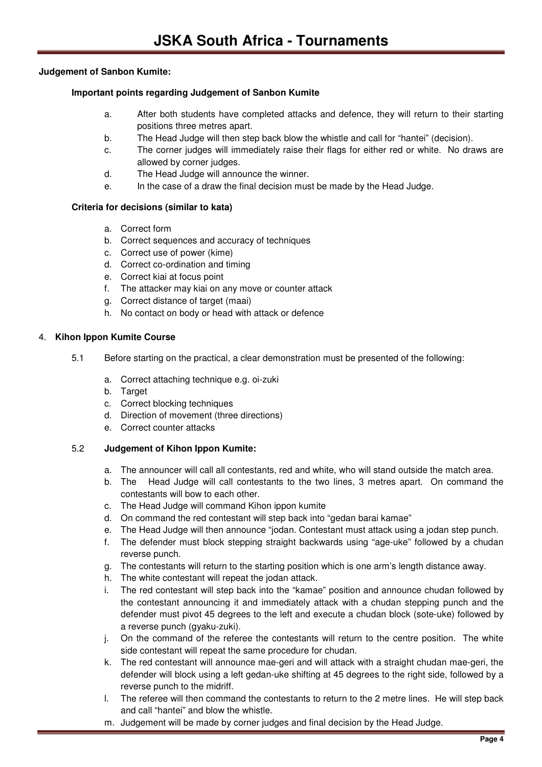# **Judgement of Sanbon Kumite:**

# **Important points regarding Judgement of Sanbon Kumite**

- a. After both students have completed attacks and defence, they will return to their starting positions three metres apart.
- b. The Head Judge will then step back blow the whistle and call for "hantei" (decision).
- c. The corner judges will immediately raise their flags for either red or white. No draws are allowed by corner judges.
- d. The Head Judge will announce the winner.
- e. In the case of a draw the final decision must be made by the Head Judge.

## **Criteria for decisions (similar to kata)**

- a. Correct form
- b. Correct sequences and accuracy of techniques
- c. Correct use of power (kime)
- d. Correct co-ordination and timing
- e. Correct kiai at focus point
- f. The attacker may kiai on any move or counter attack
- g. Correct distance of target (maai)
- h. No contact on body or head with attack or defence

## 4. **Kihon Ippon Kumite Course**

- 5.1 Before starting on the practical, a clear demonstration must be presented of the following:
	- a. Correct attaching technique e.g. oi-zuki
	- b. Target
	- c. Correct blocking techniques
	- d. Direction of movement (three directions)
	- e. Correct counter attacks

# 5.2 **Judgement of Kihon Ippon Kumite:**

- a. The announcer will call all contestants, red and white, who will stand outside the match area.
- b. The Head Judge will call contestants to the two lines, 3 metres apart. On command the contestants will bow to each other.
- c. The Head Judge will command Kihon ippon kumite
- d. On command the red contestant will step back into "gedan barai kamae"
- e. The Head Judge will then announce "jodan. Contestant must attack using a jodan step punch.
- f. The defender must block stepping straight backwards using "age-uke" followed by a chudan reverse punch.
- g. The contestants will return to the starting position which is one arm's length distance away.
- h. The white contestant will repeat the jodan attack.
- i. The red contestant will step back into the "kamae" position and announce chudan followed by the contestant announcing it and immediately attack with a chudan stepping punch and the defender must pivot 45 degrees to the left and execute a chudan block (sote-uke) followed by a reverse punch (gyaku-zuki).
- i. On the command of the referee the contestants will return to the centre position. The white side contestant will repeat the same procedure for chudan.
- k. The red contestant will announce mae-geri and will attack with a straight chudan mae-geri, the defender will block using a left gedan-uke shifting at 45 degrees to the right side, followed by a reverse punch to the midriff.
- l. The referee will then command the contestants to return to the 2 metre lines. He will step back and call "hantei" and blow the whistle.
- m. Judgement will be made by corner judges and final decision by the Head Judge.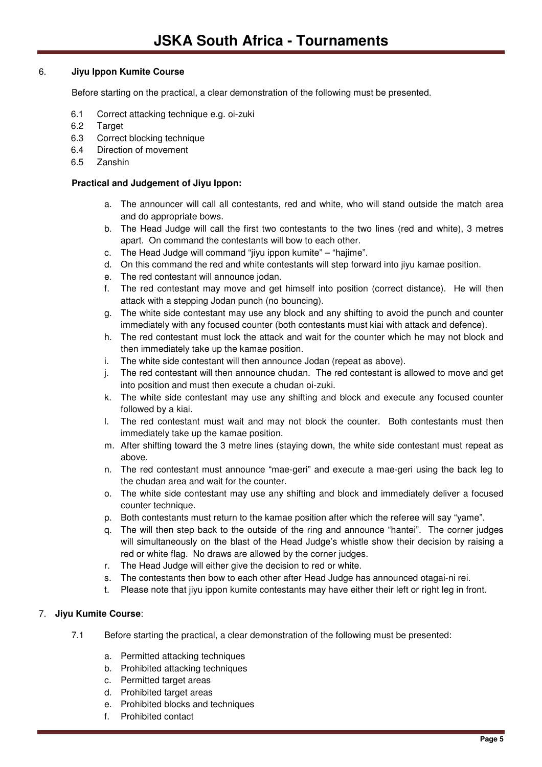## 6. **Jiyu Ippon Kumite Course**

Before starting on the practical, a clear demonstration of the following must be presented.

- 6.1 Correct attacking technique e.g. oi-zuki
- 6.2 Target
- 6.3 Correct blocking technique
- 6.4 Direction of movement
- 6.5 Zanshin

## **Practical and Judgement of Jiyu Ippon:**

- a. The announcer will call all contestants, red and white, who will stand outside the match area and do appropriate bows.
- b. The Head Judge will call the first two contestants to the two lines (red and white), 3 metres apart. On command the contestants will bow to each other.
- c. The Head Judge will command "jiyu ippon kumite" "hajime".
- d. On this command the red and white contestants will step forward into jiyu kamae position.
- e. The red contestant will announce jodan.
- f. The red contestant may move and get himself into position (correct distance). He will then attack with a stepping Jodan punch (no bouncing).
- g. The white side contestant may use any block and any shifting to avoid the punch and counter immediately with any focused counter (both contestants must kiai with attack and defence).
- h. The red contestant must lock the attack and wait for the counter which he may not block and then immediately take up the kamae position.
- i. The white side contestant will then announce Jodan (repeat as above).
- j. The red contestant will then announce chudan. The red contestant is allowed to move and get into position and must then execute a chudan oi-zuki.
- k. The white side contestant may use any shifting and block and execute any focused counter followed by a kiai.
- l. The red contestant must wait and may not block the counter. Both contestants must then immediately take up the kamae position.
- m. After shifting toward the 3 metre lines (staying down, the white side contestant must repeat as above.
- n. The red contestant must announce "mae-geri" and execute a mae-geri using the back leg to the chudan area and wait for the counter.
- o. The white side contestant may use any shifting and block and immediately deliver a focused counter technique.
- p. Both contestants must return to the kamae position after which the referee will say "yame".
- q. The will then step back to the outside of the ring and announce "hantei". The corner judges will simultaneously on the blast of the Head Judge's whistle show their decision by raising a red or white flag. No draws are allowed by the corner judges.
- r. The Head Judge will either give the decision to red or white.
- s. The contestants then bow to each other after Head Judge has announced otagai-ni rei.
- t. Please note that jiyu ippon kumite contestants may have either their left or right leg in front.

# 7. **Jiyu Kumite Course**:

- 7.1 Before starting the practical, a clear demonstration of the following must be presented:
	- a. Permitted attacking techniques
	- b. Prohibited attacking techniques
	- c. Permitted target areas
	- d. Prohibited target areas
	- e. Prohibited blocks and techniques
	- f. Prohibited contact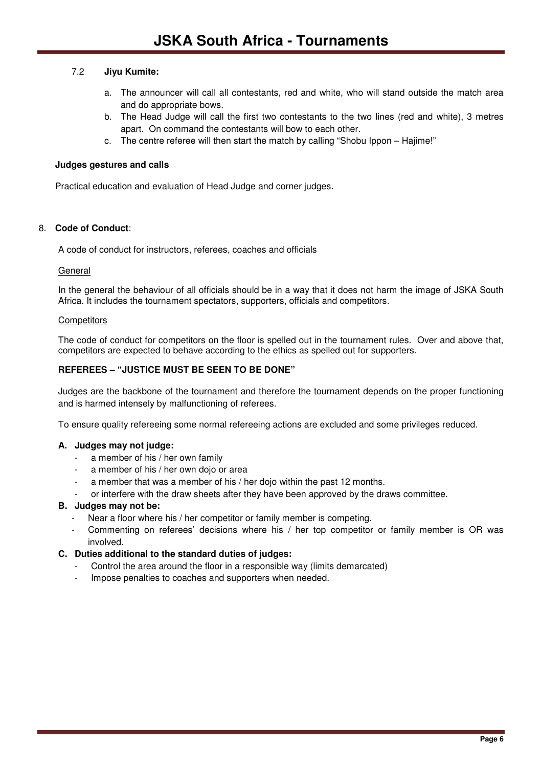# 7.2 **Jiyu Kumite:**

- a. The announcer will call all contestants, red and white, who will stand outside the match area and do appropriate bows.
- b. The Head Judge will call the first two contestants to the two lines (red and white), 3 metres apart. On command the contestants will bow to each other.
- c. The centre referee will then start the match by calling "Shobu Ippon Hajime!"

## **Judges gestures and calls**

Practical education and evaluation of Head Judge and corner judges.

## 8. **Code of Conduct**:

A code of conduct for instructors, referees, coaches and officials

#### General

In the general the behaviour of all officials should be in a way that it does not harm the image of JSKA South Africa. It includes the tournament spectators, supporters, officials and competitors.

#### **Competitors**

The code of conduct for competitors on the floor is spelled out in the tournament rules. Over and above that, competitors are expected to behave according to the ethics as spelled out for supporters.

# **REFEREES – "JUSTICE MUST BE SEEN TO BE DONE"**

Judges are the backbone of the tournament and therefore the tournament depends on the proper functioning and is harmed intensely by malfunctioning of referees.

To ensure quality refereeing some normal refereeing actions are excluded and some privileges reduced.

#### **A. Judges may not judge:**

- a member of his / her own family
- a member of his / her own dojo or area
- a member that was a member of his / her dojo within the past 12 months.
- or interfere with the draw sheets after they have been approved by the draws committee.

#### **B. Judges may not be:**

- Near a floor where his / her competitor or family member is competing.
- Commenting on referees' decisions where his / her top competitor or family member is OR was involved.

#### **C. Duties additional to the standard duties of judges:**

- Control the area around the floor in a responsible way (limits demarcated)
- Impose penalties to coaches and supporters when needed.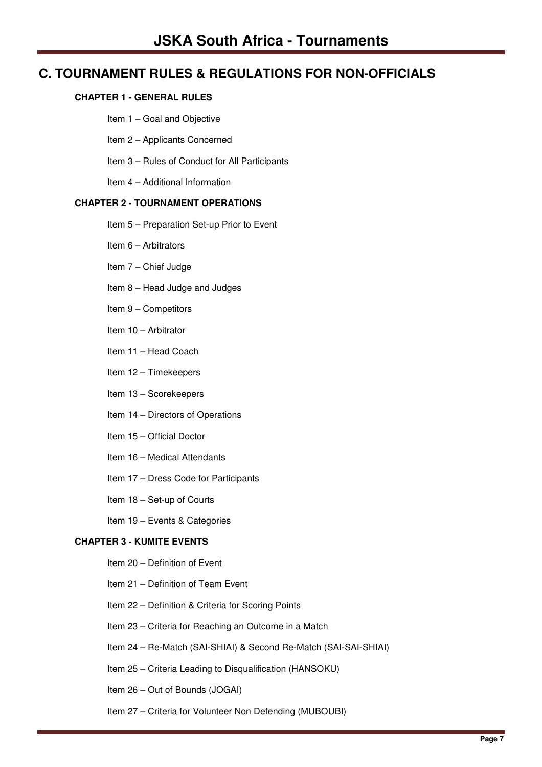# **C. TOURNAMENT RULES & REGULATIONS FOR NON-OFFICIALS**

## **CHAPTER 1 - GENERAL RULES**

- Item 1 Goal and Objective
- Item 2 Applicants Concerned
- Item 3 Rules of Conduct for All Participants
- Item 4 Additional Information

#### **CHAPTER 2 - TOURNAMENT OPERATIONS**

- Item 5 Preparation Set-up Prior to Event
- Item 6 Arbitrators
- Item 7 Chief Judge
- Item 8 Head Judge and Judges
- Item 9 Competitors
- Item 10 Arbitrator
- Item 11 Head Coach
- Item 12 Timekeepers
- Item 13 Scorekeepers
- Item 14 Directors of Operations
- Item 15 Official Doctor
- Item 16 Medical Attendants
- Item 17 Dress Code for Participants
- Item 18 Set-up of Courts
- Item 19 Events & Categories

## **CHAPTER 3 - KUMITE EVENTS**

- Item 20 Definition of Event
- Item 21 Definition of Team Event
- Item 22 Definition & Criteria for Scoring Points
- Item 23 Criteria for Reaching an Outcome in a Match
- Item 24 Re-Match (SAI-SHIAI) & Second Re-Match (SAI-SAI-SHIAI)
- Item 25 Criteria Leading to Disqualification (HANSOKU)
- Item 26 Out of Bounds (JOGAI)
- Item 27 Criteria for Volunteer Non Defending (MUBOUBI)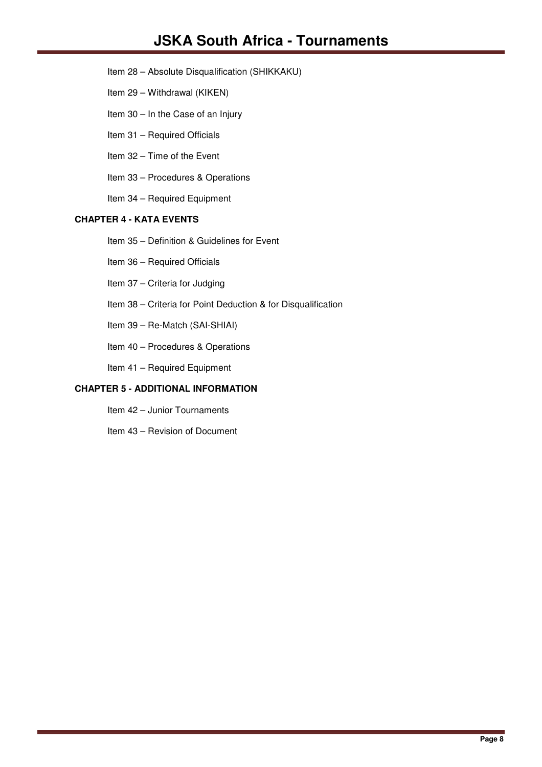- Item 28 Absolute Disqualification (SHIKKAKU)
- Item 29 Withdrawal (KIKEN)
- Item 30 In the Case of an Injury
- Item 31 Required Officials
- Item 32 Time of the Event
- Item 33 Procedures & Operations
- Item 34 Required Equipment

# **CHAPTER 4 - KATA EVENTS**

- Item 35 Definition & Guidelines for Event
- Item 36 Required Officials
- Item 37 Criteria for Judging
- Item 38 Criteria for Point Deduction & for Disqualification
- Item 39 Re-Match (SAI-SHIAI)
- Item 40 Procedures & Operations
- Item 41 Required Equipment

# **CHAPTER 5 - ADDITIONAL INFORMATION**

- Item 42 Junior Tournaments
- Item 43 Revision of Document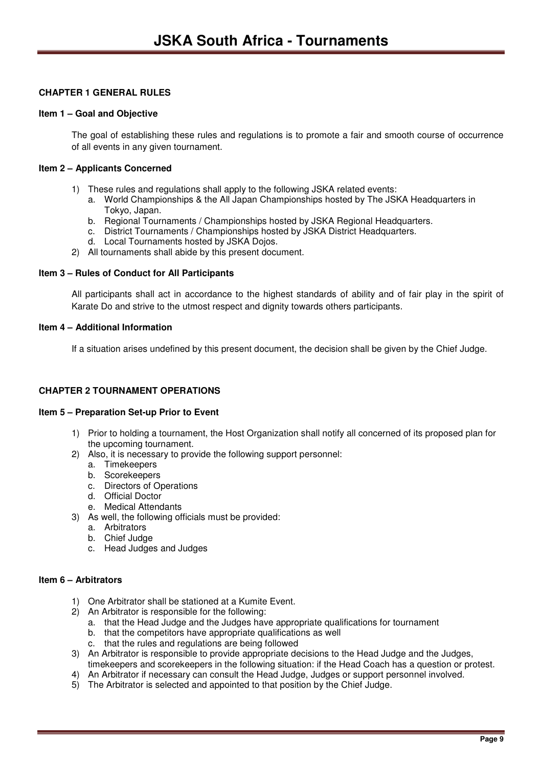# **CHAPTER 1 GENERAL RULES**

#### **Item 1 – Goal and Objective**

The goal of establishing these rules and regulations is to promote a fair and smooth course of occurrence of all events in any given tournament.

#### **Item 2 – Applicants Concerned**

- 1) These rules and regulations shall apply to the following JSKA related events:
	- a. World Championships & the All Japan Championships hosted by The JSKA Headquarters in Tokyo, Japan.
	- b. Regional Tournaments / Championships hosted by JSKA Regional Headquarters.
	- c. District Tournaments / Championships hosted by JSKA District Headquarters.
	- d. Local Tournaments hosted by JSKA Dojos.
- 2) All tournaments shall abide by this present document.

#### **Item 3 – Rules of Conduct for All Participants**

All participants shall act in accordance to the highest standards of ability and of fair play in the spirit of Karate Do and strive to the utmost respect and dignity towards others participants.

#### **Item 4 – Additional Information**

If a situation arises undefined by this present document, the decision shall be given by the Chief Judge.

#### **CHAPTER 2 TOURNAMENT OPERATIONS**

#### **Item 5 – Preparation Set-up Prior to Event**

- 1) Prior to holding a tournament, the Host Organization shall notify all concerned of its proposed plan for the upcoming tournament.
- 2) Also, it is necessary to provide the following support personnel:
	- a. Timekeepers
	- b. Scorekeepers
	- c. Directors of Operations
	- d. Official Doctor
	- e. Medical Attendants
- 3) As well, the following officials must be provided:
	- a. Arbitrators
	- b. Chief Judge
	- c. Head Judges and Judges

#### **Item 6 – Arbitrators**

- 1) One Arbitrator shall be stationed at a Kumite Event.
- 2) An Arbitrator is responsible for the following:
	- a. that the Head Judge and the Judges have appropriate qualifications for tournament
	- b. that the competitors have appropriate qualifications as well
	- c. that the rules and regulations are being followed
- 3) An Arbitrator is responsible to provide appropriate decisions to the Head Judge and the Judges, timekeepers and scorekeepers in the following situation: if the Head Coach has a question or protest.
- 4) An Arbitrator if necessary can consult the Head Judge, Judges or support personnel involved.
- 5) The Arbitrator is selected and appointed to that position by the Chief Judge.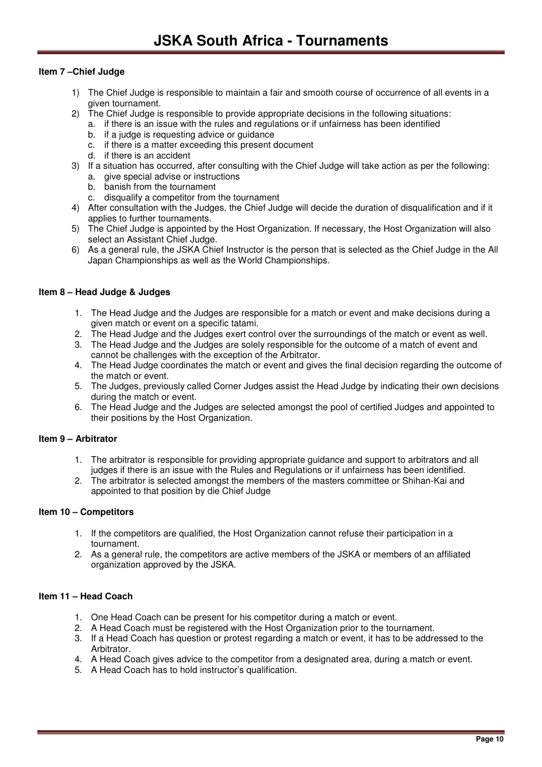# **Item 7 –Chief Judge**

- 1) The Chief Judge is responsible to maintain a fair and smooth course of occurrence of all events in a given tournament.
- 2) The Chief Judge is responsible to provide appropriate decisions in the following situations: a. if there is an issue with the rules and regulations or if unfairness has been identified
	- b. if a judge is requesting advice or guidance
	- c. if there is a matter exceeding this present document
	- d. if there is an accident
- 3) If a situation has occurred, after consulting with the Chief Judge will take action as per the following:
	- a. give special advise or instructions
	- b. banish from the tournament
	- c. disqualify a competitor from the tournament
- 4) After consultation with the Judges, the Chief Judge will decide the duration of disqualification and if it applies to further tournaments.
- 5) The Chief Judge is appointed by the Host Organization. If necessary, the Host Organization will also select an Assistant Chief Judge.
- 6) As a general rule, the JSKA Chief Instructor is the person that is selected as the Chief Judge in the All Japan Championships as well as the World Championships.

## **Item 8 – Head Judge & Judges**

- 1. The Head Judge and the Judges are responsible for a match or event and make decisions during a given match or event on a specific tatami.
- 2. The Head Judge and the Judges exert control over the surroundings of the match or event as well.
- 3. The Head Judge and the Judges are solely responsible for the outcome of a match of event and cannot be challenges with the exception of the Arbitrator.
- 4. The Head Judge coordinates the match or event and gives the final decision regarding the outcome of the match or event.
- 5. The Judges, previously called Corner Judges assist the Head Judge by indicating their own decisions during the match or event.
- 6. The Head Judge and the Judges are selected amongst the pool of certified Judges and appointed to their positions by the Host Organization.

# **Item 9 – Arbitrator**

- 1. The arbitrator is responsible for providing appropriate guidance and support to arbitrators and all judges if there is an issue with the Rules and Regulations or if unfairness has been identified.
- 2. The arbitrator is selected amongst the members of the masters committee or Shihan-Kai and appointed to that position by die Chief Judge

#### **Item 10 – Competitors**

- 1. If the competitors are qualified, the Host Organization cannot refuse their participation in a tournament.
- 2. As a general rule, the competitors are active members of the JSKA or members of an affiliated organization approved by the JSKA.

# **Item 11 – Head Coach**

- 1. One Head Coach can be present for his competitor during a match or event.
- 2. A Head Coach must be registered with the Host Organization prior to the tournament.
- 3. If a Head Coach has question or protest regarding a match or event, it has to be addressed to the Arbitrator.
- 4. A Head Coach gives advice to the competitor from a designated area, during a match or event.
- 5. A Head Coach has to hold instructor's qualification.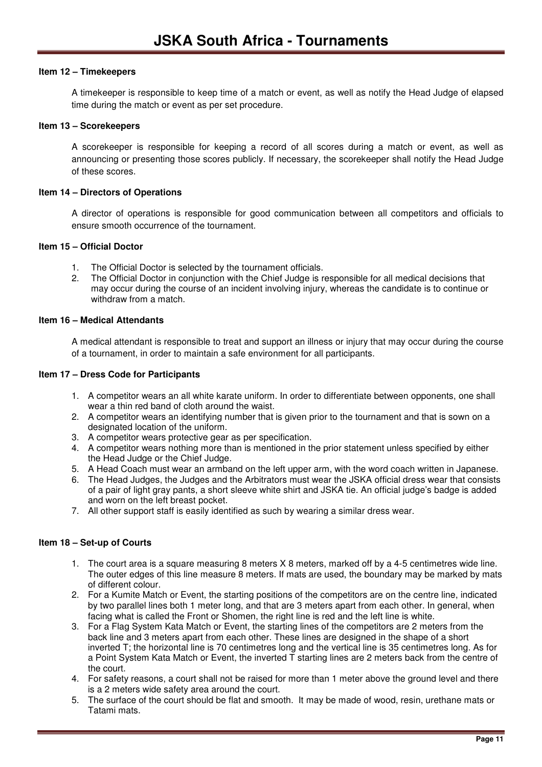#### **Item 12 – Timekeepers**

A timekeeper is responsible to keep time of a match or event, as well as notify the Head Judge of elapsed time during the match or event as per set procedure.

#### **Item 13 – Scorekeepers**

A scorekeeper is responsible for keeping a record of all scores during a match or event, as well as announcing or presenting those scores publicly. If necessary, the scorekeeper shall notify the Head Judge of these scores.

## **Item 14 – Directors of Operations**

A director of operations is responsible for good communication between all competitors and officials to ensure smooth occurrence of the tournament.

## **Item 15 – Official Doctor**

- 1. The Official Doctor is selected by the tournament officials.
- 2. The Official Doctor in conjunction with the Chief Judge is responsible for all medical decisions that may occur during the course of an incident involving injury, whereas the candidate is to continue or withdraw from a match.

#### **Item 16 – Medical Attendants**

A medical attendant is responsible to treat and support an illness or injury that may occur during the course of a tournament, in order to maintain a safe environment for all participants.

## **Item 17 – Dress Code for Participants**

- 1. A competitor wears an all white karate uniform. In order to differentiate between opponents, one shall wear a thin red band of cloth around the waist.
- 2. A competitor wears an identifying number that is given prior to the tournament and that is sown on a designated location of the uniform.
- 3. A competitor wears protective gear as per specification.
- 4. A competitor wears nothing more than is mentioned in the prior statement unless specified by either the Head Judge or the Chief Judge.
- 5. A Head Coach must wear an armband on the left upper arm, with the word coach written in Japanese.
- 6. The Head Judges, the Judges and the Arbitrators must wear the JSKA official dress wear that consists of a pair of light gray pants, a short sleeve white shirt and JSKA tie. An official judge's badge is added and worn on the left breast pocket.
- 7. All other support staff is easily identified as such by wearing a similar dress wear.

# **Item 18 – Set-up of Courts**

- 1. The court area is a square measuring 8 meters X 8 meters, marked off by a 4-5 centimetres wide line. The outer edges of this line measure 8 meters. If mats are used, the boundary may be marked by mats of different colour.
- 2. For a Kumite Match or Event, the starting positions of the competitors are on the centre line, indicated by two parallel lines both 1 meter long, and that are 3 meters apart from each other. In general, when facing what is called the Front or Shomen, the right line is red and the left line is white.
- 3. For a Flag System Kata Match or Event, the starting lines of the competitors are 2 meters from the back line and 3 meters apart from each other. These lines are designed in the shape of a short inverted T; the horizontal line is 70 centimetres long and the vertical line is 35 centimetres long. As for a Point System Kata Match or Event, the inverted T starting lines are 2 meters back from the centre of the court.
- 4. For safety reasons, a court shall not be raised for more than 1 meter above the ground level and there is a 2 meters wide safety area around the court.
- 5. The surface of the court should be flat and smooth. It may be made of wood, resin, urethane mats or Tatami mats.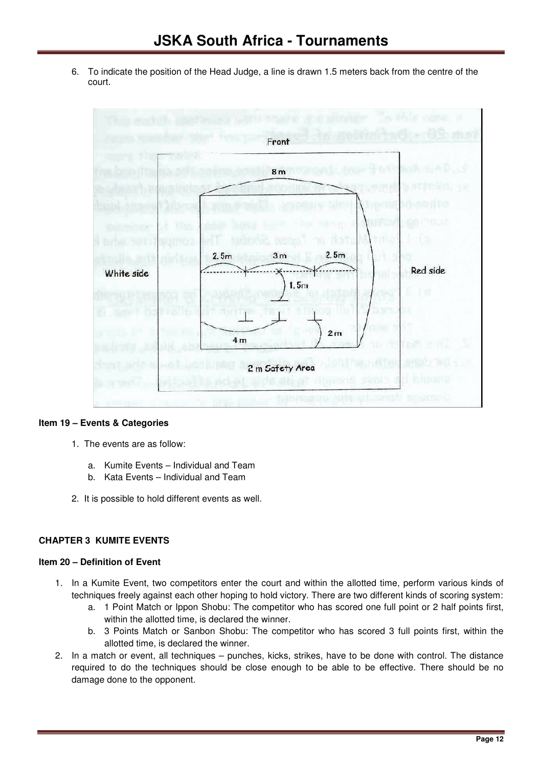6. To indicate the position of the Head Judge, a line is drawn 1.5 meters back from the centre of the court.



## **Item 19 – Events & Categories**

- 1. The events are as follow:
	- a. Kumite Events Individual and Team
	- b. Kata Events Individual and Team
- 2. It is possible to hold different events as well.

# **CHAPTER 3 KUMITE EVENTS**

## **Item 20 – Definition of Event**

- 1. In a Kumite Event, two competitors enter the court and within the allotted time, perform various kinds of techniques freely against each other hoping to hold victory. There are two different kinds of scoring system:
	- a. 1 Point Match or Ippon Shobu: The competitor who has scored one full point or 2 half points first, within the allotted time, is declared the winner.
	- b. 3 Points Match or Sanbon Shobu: The competitor who has scored 3 full points first, within the allotted time, is declared the winner.
- 2. In a match or event, all techniques punches, kicks, strikes, have to be done with control. The distance required to do the techniques should be close enough to be able to be effective. There should be no damage done to the opponent.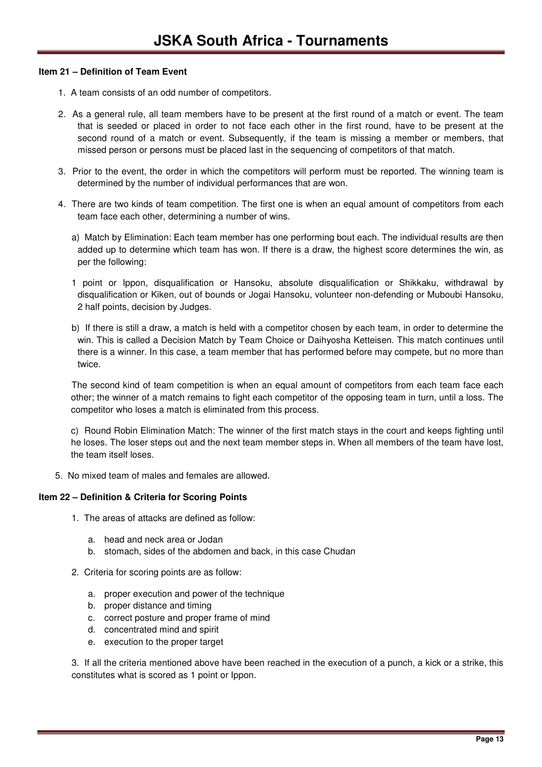## **Item 21 – Definition of Team Event**

- 1. A team consists of an odd number of competitors.
- 2. As a general rule, all team members have to be present at the first round of a match or event. The team that is seeded or placed in order to not face each other in the first round, have to be present at the second round of a match or event. Subsequently, if the team is missing a member or members, that missed person or persons must be placed last in the sequencing of competitors of that match.
- 3. Prior to the event, the order in which the competitors will perform must be reported. The winning team is determined by the number of individual performances that are won.
- 4. There are two kinds of team competition. The first one is when an equal amount of competitors from each team face each other, determining a number of wins.
	- a) Match by Elimination: Each team member has one performing bout each. The individual results are then added up to determine which team has won. If there is a draw, the highest score determines the win, as per the following:
	- 1 point or Ippon, disqualification or Hansoku, absolute disqualification or Shikkaku, withdrawal by disqualification or Kiken, out of bounds or Jogai Hansoku, volunteer non-defending or Muboubi Hansoku, 2 half points, decision by Judges.
	- b) If there is still a draw, a match is held with a competitor chosen by each team, in order to determine the win. This is called a Decision Match by Team Choice or Daihyosha Ketteisen. This match continues until there is a winner. In this case, a team member that has performed before may compete, but no more than twice.

The second kind of team competition is when an equal amount of competitors from each team face each other; the winner of a match remains to fight each competitor of the opposing team in turn, until a loss. The competitor who loses a match is eliminated from this process.

c) Round Robin Elimination Match: The winner of the first match stays in the court and keeps fighting until he loses. The loser steps out and the next team member steps in. When all members of the team have lost, the team itself loses.

5. No mixed team of males and females are allowed.

# **Item 22 – Definition & Criteria for Scoring Points**

- 1. The areas of attacks are defined as follow:
	- a. head and neck area or Jodan
	- b. stomach, sides of the abdomen and back, in this case Chudan
- 2. Criteria for scoring points are as follow:
	- a. proper execution and power of the technique
	- b. proper distance and timing
	- c. correct posture and proper frame of mind
	- d. concentrated mind and spirit
	- e. execution to the proper target

3. If all the criteria mentioned above have been reached in the execution of a punch, a kick or a strike, this constitutes what is scored as 1 point or Ippon.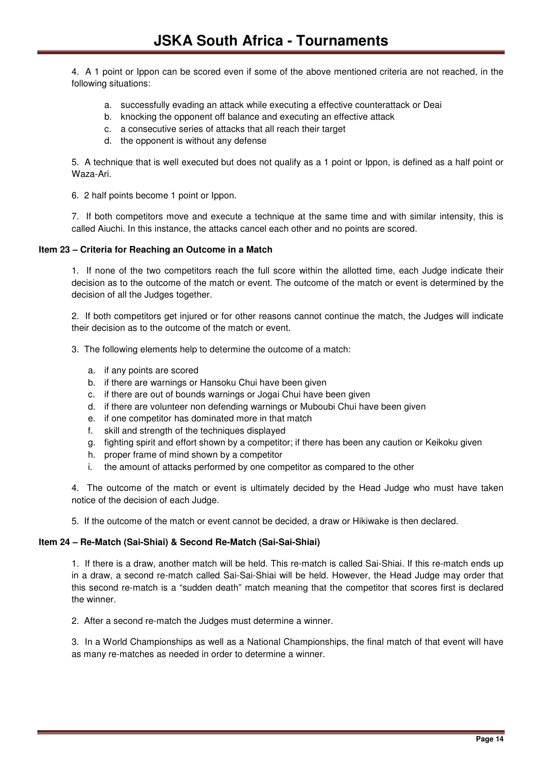4. A 1 point or Ippon can be scored even if some of the above mentioned criteria are not reached, in the following situations:

- a. successfully evading an attack while executing a effective counterattack or Deai
- b. knocking the opponent off balance and executing an effective attack
- c. a consecutive series of attacks that all reach their target
- d. the opponent is without any defense

5. A technique that is well executed but does not qualify as a 1 point or Ippon, is defined as a half point or Waza-Ari.

6. 2 half points become 1 point or Ippon.

7. If both competitors move and execute a technique at the same time and with similar intensity, this is called Aiuchi. In this instance, the attacks cancel each other and no points are scored.

#### **Item 23 – Criteria for Reaching an Outcome in a Match**

1. If none of the two competitors reach the full score within the allotted time, each Judge indicate their decision as to the outcome of the match or event. The outcome of the match or event is determined by the decision of all the Judges together.

2. If both competitors get injured or for other reasons cannot continue the match, the Judges will indicate their decision as to the outcome of the match or event.

- 3. The following elements help to determine the outcome of a match:
	- a. if any points are scored
	- b. if there are warnings or Hansoku Chui have been given
	- c. if there are out of bounds warnings or Jogai Chui have been given
	- d. if there are volunteer non defending warnings or Muboubi Chui have been given
	- e. if one competitor has dominated more in that match
	- f. skill and strength of the techniques displayed
	- g. fighting spirit and effort shown by a competitor; if there has been any caution or Keikoku given
	- h. proper frame of mind shown by a competitor
	- i. the amount of attacks performed by one competitor as compared to the other

4. The outcome of the match or event is ultimately decided by the Head Judge who must have taken notice of the decision of each Judge.

5. If the outcome of the match or event cannot be decided, a draw or Hikiwake is then declared.

#### **Item 24 – Re-Match (Sai-Shiai) & Second Re-Match (Sai-Sai-Shiai)**

1. If there is a draw, another match will be held. This re-match is called Sai-Shiai. If this re-match ends up in a draw, a second re-match called Sai-Sai-Shiai will be held. However, the Head Judge may order that this second re-match is a "sudden death" match meaning that the competitor that scores first is declared the winner.

2. After a second re-match the Judges must determine a winner.

3. In a World Championships as well as a National Championships, the final match of that event will have as many re-matches as needed in order to determine a winner.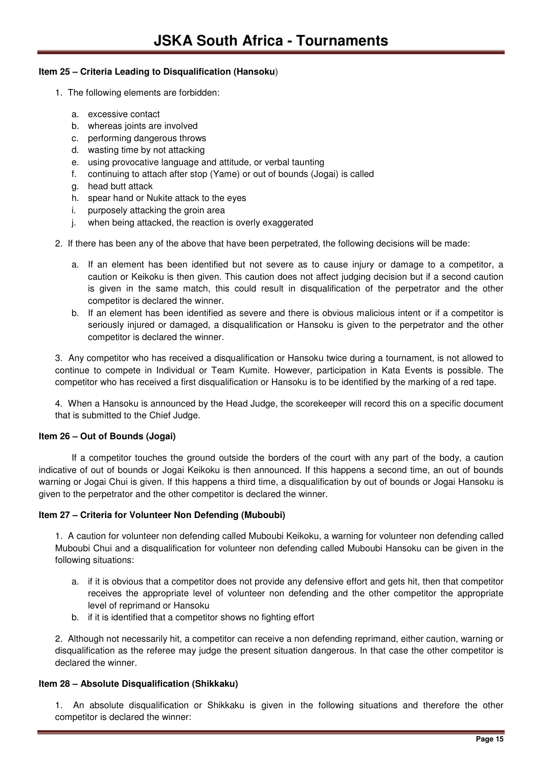## **Item 25 – Criteria Leading to Disqualification (Hansoku**)

- 1. The following elements are forbidden:
	- a. excessive contact
	- b. whereas joints are involved
	- c. performing dangerous throws
	- d. wasting time by not attacking
	- e. using provocative language and attitude, or verbal taunting
	- f. continuing to attach after stop (Yame) or out of bounds (Jogai) is called
	- g. head butt attack
	- h. spear hand or Nukite attack to the eyes
	- i. purposely attacking the groin area
	- j. when being attacked, the reaction is overly exaggerated
- 2. If there has been any of the above that have been perpetrated, the following decisions will be made:
	- a. If an element has been identified but not severe as to cause injury or damage to a competitor, a caution or Keikoku is then given. This caution does not affect judging decision but if a second caution is given in the same match, this could result in disqualification of the perpetrator and the other competitor is declared the winner.
	- b. If an element has been identified as severe and there is obvious malicious intent or if a competitor is seriously injured or damaged, a disqualification or Hansoku is given to the perpetrator and the other competitor is declared the winner.

3. Any competitor who has received a disqualification or Hansoku twice during a tournament, is not allowed to continue to compete in Individual or Team Kumite. However, participation in Kata Events is possible. The competitor who has received a first disqualification or Hansoku is to be identified by the marking of a red tape.

4. When a Hansoku is announced by the Head Judge, the scorekeeper will record this on a specific document that is submitted to the Chief Judge.

#### **Item 26 – Out of Bounds (Jogai)**

If a competitor touches the ground outside the borders of the court with any part of the body, a caution indicative of out of bounds or Jogai Keikoku is then announced. If this happens a second time, an out of bounds warning or Jogai Chui is given. If this happens a third time, a disqualification by out of bounds or Jogai Hansoku is given to the perpetrator and the other competitor is declared the winner.

#### **Item 27 – Criteria for Volunteer Non Defending (Muboubi)**

1. A caution for volunteer non defending called Muboubi Keikoku, a warning for volunteer non defending called Muboubi Chui and a disqualification for volunteer non defending called Muboubi Hansoku can be given in the following situations:

- a. if it is obvious that a competitor does not provide any defensive effort and gets hit, then that competitor receives the appropriate level of volunteer non defending and the other competitor the appropriate level of reprimand or Hansoku
- b. if it is identified that a competitor shows no fighting effort

2. Although not necessarily hit, a competitor can receive a non defending reprimand, either caution, warning or disqualification as the referee may judge the present situation dangerous. In that case the other competitor is declared the winner.

# **Item 28 – Absolute Disqualification (Shikkaku)**

1. An absolute disqualification or Shikkaku is given in the following situations and therefore the other competitor is declared the winner: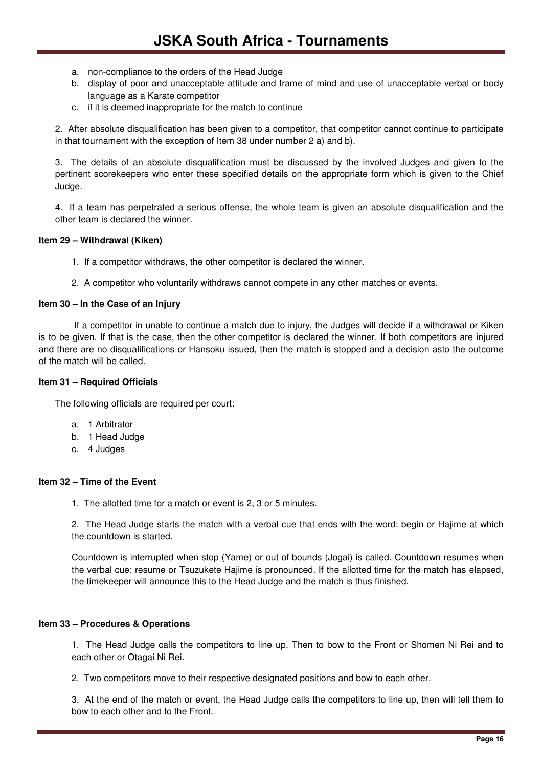- a. non-compliance to the orders of the Head Judge
- b. display of poor and unacceptable attitude and frame of mind and use of unacceptable verbal or body language as a Karate competitor
- c. if it is deemed inappropriate for the match to continue

2. After absolute disqualification has been given to a competitor, that competitor cannot continue to participate in that tournament with the exception of Item 38 under number 2 a) and b).

3. The details of an absolute disqualification must be discussed by the involved Judges and given to the pertinent scorekeepers who enter these specified details on the appropriate form which is given to the Chief Judge.

4. If a team has perpetrated a serious offense, the whole team is given an absolute disqualification and the other team is declared the winner.

#### **Item 29 – Withdrawal (Kiken)**

- 1. If a competitor withdraws, the other competitor is declared the winner.
- 2. A competitor who voluntarily withdraws cannot compete in any other matches or events.

#### **Item 30 – In the Case of an Injury**

 If a competitor in unable to continue a match due to injury, the Judges will decide if a withdrawal or Kiken is to be given. If that is the case, then the other competitor is declared the winner. If both competitors are injured and there are no disqualifications or Hansoku issued, then the match is stopped and a decision asto the outcome of the match will be called.

#### **Item 31 – Required Officials**

The following officials are required per court:

- a. 1 Arbitrator
- b. 1 Head Judge
- c. 4 Judges

#### **Item 32 – Time of the Event**

1. The allotted time for a match or event is 2, 3 or 5 minutes.

2. The Head Judge starts the match with a verbal cue that ends with the word: begin or Hajime at which the countdown is started.

Countdown is interrupted when stop (Yame) or out of bounds (Jogai) is called. Countdown resumes when the verbal cue: resume or Tsuzukete Hajime is pronounced. If the allotted time for the match has elapsed, the timekeeper will announce this to the Head Judge and the match is thus finished.

#### **Item 33 – Procedures & Operations**

1. The Head Judge calls the competitors to line up. Then to bow to the Front or Shomen Ni Rei and to each other or Otagai Ni Rei.

2. Two competitors move to their respective designated positions and bow to each other.

3. At the end of the match or event, the Head Judge calls the competitors to line up, then will tell them to bow to each other and to the Front.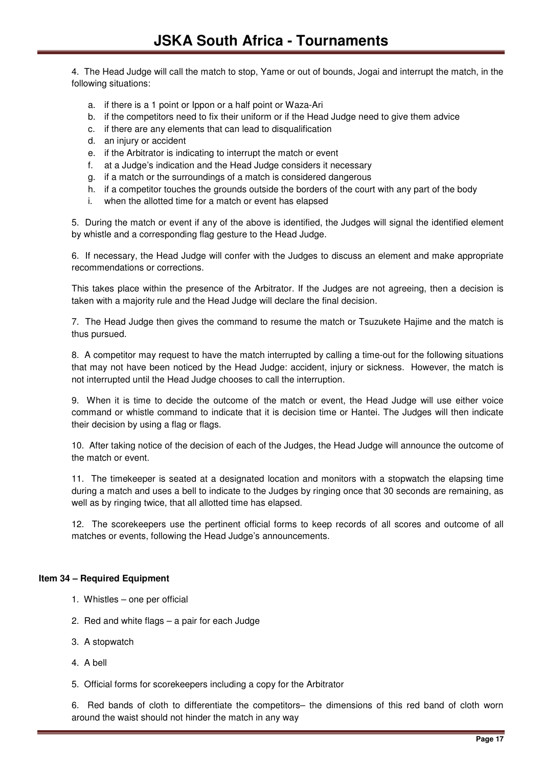4. The Head Judge will call the match to stop, Yame or out of bounds, Jogai and interrupt the match, in the following situations:

- a. if there is a 1 point or Ippon or a half point or Waza-Ari
- b. if the competitors need to fix their uniform or if the Head Judge need to give them advice
- c. if there are any elements that can lead to disqualification
- d. an injury or accident
- e. if the Arbitrator is indicating to interrupt the match or event
- f. at a Judge's indication and the Head Judge considers it necessary
- g. if a match or the surroundings of a match is considered dangerous
- h. if a competitor touches the grounds outside the borders of the court with any part of the body
- i. when the allotted time for a match or event has elapsed

5. During the match or event if any of the above is identified, the Judges will signal the identified element by whistle and a corresponding flag gesture to the Head Judge.

6. If necessary, the Head Judge will confer with the Judges to discuss an element and make appropriate recommendations or corrections.

This takes place within the presence of the Arbitrator. If the Judges are not agreeing, then a decision is taken with a majority rule and the Head Judge will declare the final decision.

7. The Head Judge then gives the command to resume the match or Tsuzukete Hajime and the match is thus pursued.

8. A competitor may request to have the match interrupted by calling a time-out for the following situations that may not have been noticed by the Head Judge: accident, injury or sickness. However, the match is not interrupted until the Head Judge chooses to call the interruption.

9. When it is time to decide the outcome of the match or event, the Head Judge will use either voice command or whistle command to indicate that it is decision time or Hantei. The Judges will then indicate their decision by using a flag or flags.

10. After taking notice of the decision of each of the Judges, the Head Judge will announce the outcome of the match or event.

11. The timekeeper is seated at a designated location and monitors with a stopwatch the elapsing time during a match and uses a bell to indicate to the Judges by ringing once that 30 seconds are remaining, as well as by ringing twice, that all allotted time has elapsed.

12. The scorekeepers use the pertinent official forms to keep records of all scores and outcome of all matches or events, following the Head Judge's announcements.

#### **Item 34 – Required Equipment**

- 1. Whistles one per official
- 2. Red and white flags a pair for each Judge
- 3. A stopwatch
- 4. A bell
- 5. Official forms for scorekeepers including a copy for the Arbitrator

6. Red bands of cloth to differentiate the competitors– the dimensions of this red band of cloth worn around the waist should not hinder the match in any way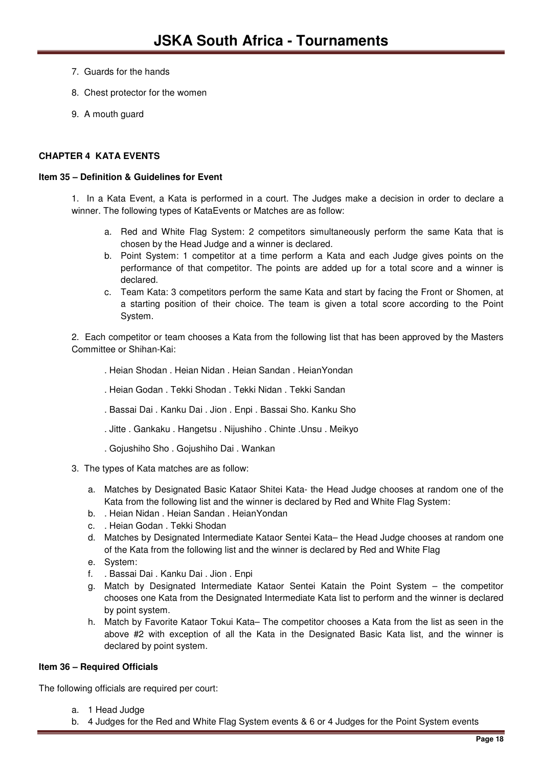- 7. Guards for the hands
- 8. Chest protector for the women
- 9. A mouth guard

## **CHAPTER 4 KATA EVENTS**

#### **Item 35 – Definition & Guidelines for Event**

1. In a Kata Event, a Kata is performed in a court. The Judges make a decision in order to declare a winner. The following types of KataEvents or Matches are as follow:

- a. Red and White Flag System: 2 competitors simultaneously perform the same Kata that is chosen by the Head Judge and a winner is declared.
- b. Point System: 1 competitor at a time perform a Kata and each Judge gives points on the performance of that competitor. The points are added up for a total score and a winner is declared.
- c. Team Kata: 3 competitors perform the same Kata and start by facing the Front or Shomen, at a starting position of their choice. The team is given a total score according to the Point System.

2. Each competitor or team chooses a Kata from the following list that has been approved by the Masters Committee or Shihan-Kai:

- . Heian Shodan . Heian Nidan . Heian Sandan . HeianYondan
- . Heian Godan . Tekki Shodan . Tekki Nidan . Tekki Sandan
- . Bassai Dai . Kanku Dai . Jion . Enpi . Bassai Sho. Kanku Sho
- . Jitte . Gankaku . Hangetsu . Nijushiho . Chinte .Unsu . Meikyo
- . Gojushiho Sho . Gojushiho Dai . Wankan
- 3. The types of Kata matches are as follow:
	- a. Matches by Designated Basic Kataor Shitei Kata- the Head Judge chooses at random one of the Kata from the following list and the winner is declared by Red and White Flag System:
	- b. . Heian Nidan . Heian Sandan . HeianYondan
	- c. . Heian Godan . Tekki Shodan
	- d. Matches by Designated Intermediate Kataor Sentei Kata– the Head Judge chooses at random one of the Kata from the following list and the winner is declared by Red and White Flag
	- e. System:
	- f. . Bassai Dai . Kanku Dai . Jion . Enpi
	- g. Match by Designated Intermediate Kataor Sentei Katain the Point System the competitor chooses one Kata from the Designated Intermediate Kata list to perform and the winner is declared by point system.
	- h. Match by Favorite Kataor Tokui Kata– The competitor chooses a Kata from the list as seen in the above #2 with exception of all the Kata in the Designated Basic Kata list, and the winner is declared by point system.

#### **Item 36 – Required Officials**

The following officials are required per court:

- a. 1 Head Judge
- b. 4 Judges for the Red and White Flag System events & 6 or 4 Judges for the Point System events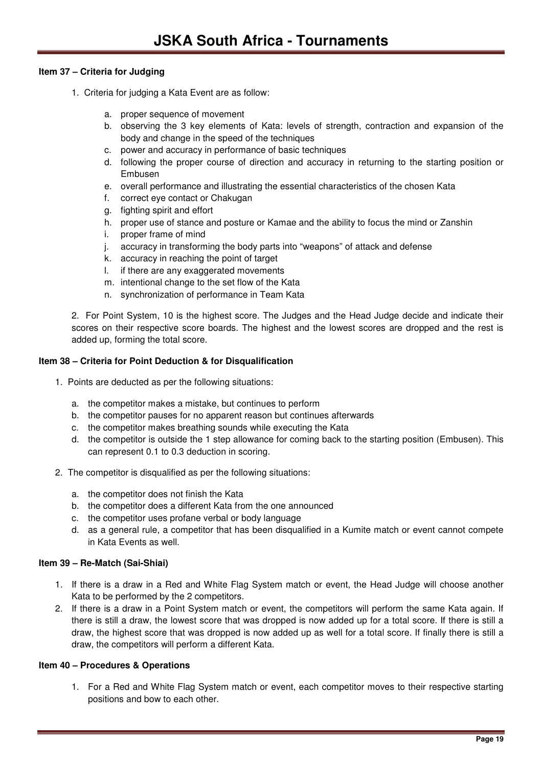# **Item 37 – Criteria for Judging**

- 1. Criteria for judging a Kata Event are as follow:
	- a. proper sequence of movement
	- b. observing the 3 key elements of Kata: levels of strength, contraction and expansion of the body and change in the speed of the techniques
	- c. power and accuracy in performance of basic techniques
	- d. following the proper course of direction and accuracy in returning to the starting position or Embusen
	- e. overall performance and illustrating the essential characteristics of the chosen Kata
	- f. correct eye contact or Chakugan
	- g. fighting spirit and effort
	- h. proper use of stance and posture or Kamae and the ability to focus the mind or Zanshin
	- i. proper frame of mind
	- j. accuracy in transforming the body parts into "weapons" of attack and defense
	- k. accuracy in reaching the point of target
	- l. if there are any exaggerated movements
	- m. intentional change to the set flow of the Kata
	- n. synchronization of performance in Team Kata

2. For Point System, 10 is the highest score. The Judges and the Head Judge decide and indicate their scores on their respective score boards. The highest and the lowest scores are dropped and the rest is added up, forming the total score.

## **Item 38 – Criteria for Point Deduction & for Disqualification**

- 1. Points are deducted as per the following situations:
	- a. the competitor makes a mistake, but continues to perform
	- b. the competitor pauses for no apparent reason but continues afterwards
	- c. the competitor makes breathing sounds while executing the Kata
	- d. the competitor is outside the 1 step allowance for coming back to the starting position (Embusen). This can represent 0.1 to 0.3 deduction in scoring.
- 2. The competitor is disqualified as per the following situations:
	- a. the competitor does not finish the Kata
	- b. the competitor does a different Kata from the one announced
	- c. the competitor uses profane verbal or body language
	- d. as a general rule, a competitor that has been disqualified in a Kumite match or event cannot compete in Kata Events as well.

# **Item 39 – Re-Match (Sai-Shiai)**

- 1. If there is a draw in a Red and White Flag System match or event, the Head Judge will choose another Kata to be performed by the 2 competitors.
- 2. If there is a draw in a Point System match or event, the competitors will perform the same Kata again. If there is still a draw, the lowest score that was dropped is now added up for a total score. If there is still a draw, the highest score that was dropped is now added up as well for a total score. If finally there is still a draw, the competitors will perform a different Kata.

# **Item 40 – Procedures & Operations**

1. For a Red and White Flag System match or event, each competitor moves to their respective starting positions and bow to each other.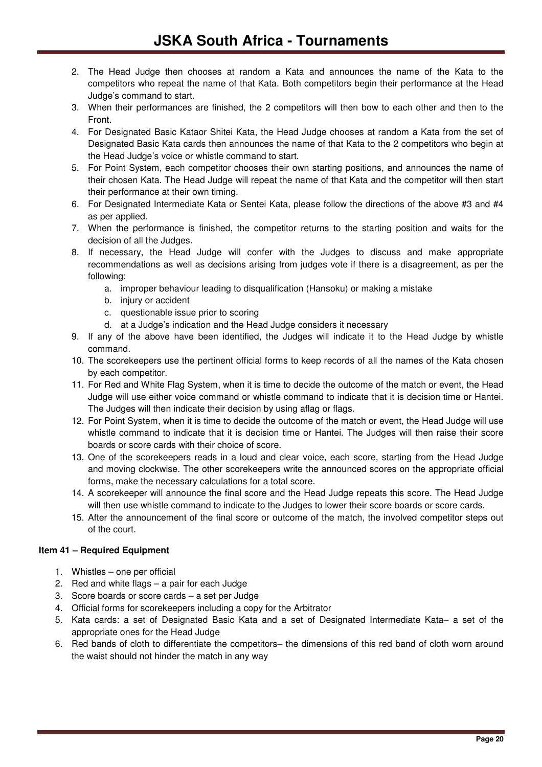- 2. The Head Judge then chooses at random a Kata and announces the name of the Kata to the competitors who repeat the name of that Kata. Both competitors begin their performance at the Head Judge's command to start.
- 3. When their performances are finished, the 2 competitors will then bow to each other and then to the Front.
- 4. For Designated Basic Kataor Shitei Kata, the Head Judge chooses at random a Kata from the set of Designated Basic Kata cards then announces the name of that Kata to the 2 competitors who begin at the Head Judge's voice or whistle command to start.
- 5. For Point System, each competitor chooses their own starting positions, and announces the name of their chosen Kata. The Head Judge will repeat the name of that Kata and the competitor will then start their performance at their own timing.
- 6. For Designated Intermediate Kata or Sentei Kata, please follow the directions of the above #3 and #4 as per applied.
- 7. When the performance is finished, the competitor returns to the starting position and waits for the decision of all the Judges.
- 8. If necessary, the Head Judge will confer with the Judges to discuss and make appropriate recommendations as well as decisions arising from judges vote if there is a disagreement, as per the following:
	- a. improper behaviour leading to disqualification (Hansoku) or making a mistake
	- b. injury or accident
	- c. questionable issue prior to scoring
	- d. at a Judge's indication and the Head Judge considers it necessary
- 9. If any of the above have been identified, the Judges will indicate it to the Head Judge by whistle command.
- 10. The scorekeepers use the pertinent official forms to keep records of all the names of the Kata chosen by each competitor.
- 11. For Red and White Flag System, when it is time to decide the outcome of the match or event, the Head Judge will use either voice command or whistle command to indicate that it is decision time or Hantei. The Judges will then indicate their decision by using aflag or flags.
- 12. For Point System, when it is time to decide the outcome of the match or event, the Head Judge will use whistle command to indicate that it is decision time or Hantei. The Judges will then raise their score boards or score cards with their choice of score.
- 13. One of the scorekeepers reads in a loud and clear voice, each score, starting from the Head Judge and moving clockwise. The other scorekeepers write the announced scores on the appropriate official forms, make the necessary calculations for a total score.
- 14. A scorekeeper will announce the final score and the Head Judge repeats this score. The Head Judge will then use whistle command to indicate to the Judges to lower their score boards or score cards.
- 15. After the announcement of the final score or outcome of the match, the involved competitor steps out of the court.

# **Item 41 – Required Equipment**

- 1. Whistles one per official
- 2. Red and white flags a pair for each Judge
- 3. Score boards or score cards a set per Judge
- 4. Official forms for scorekeepers including a copy for the Arbitrator
- 5. Kata cards: a set of Designated Basic Kata and a set of Designated Intermediate Kata– a set of the appropriate ones for the Head Judge
- 6. Red bands of cloth to differentiate the competitors– the dimensions of this red band of cloth worn around the waist should not hinder the match in any way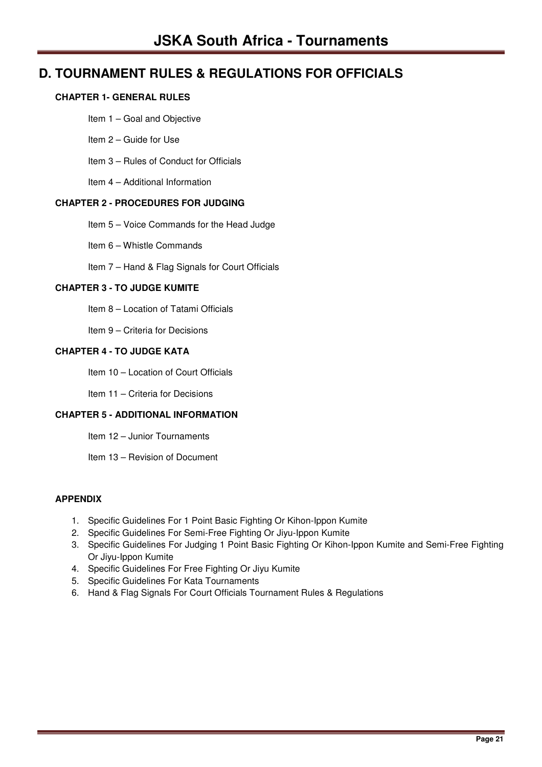# **D. TOURNAMENT RULES & REGULATIONS FOR OFFICIALS**

# **CHAPTER 1- GENERAL RULES**

- Item 1 Goal and Objective
- Item 2 Guide for Use
- Item 3 Rules of Conduct for Officials
- Item 4 Additional Information

## **CHAPTER 2 - PROCEDURES FOR JUDGING**

- Item 5 Voice Commands for the Head Judge
- Item 6 Whistle Commands
- Item 7 Hand & Flag Signals for Court Officials

## **CHAPTER 3 - TO JUDGE KUMITE**

- Item 8 Location of Tatami Officials
- Item 9 Criteria for Decisions

# **CHAPTER 4 - TO JUDGE KATA**

Item 10 – Location of Court Officials

Item 11 – Criteria for Decisions

## **CHAPTER 5 - ADDITIONAL INFORMATION**

Item 12 – Junior Tournaments

Item 13 – Revision of Document

#### **APPENDIX**

- 1. Specific Guidelines For 1 Point Basic Fighting Or Kihon-Ippon Kumite
- 2. Specific Guidelines For Semi-Free Fighting Or Jiyu-Ippon Kumite
- 3. Specific Guidelines For Judging 1 Point Basic Fighting Or Kihon-Ippon Kumite and Semi-Free Fighting Or Jiyu-Ippon Kumite
- 4. Specific Guidelines For Free Fighting Or Jiyu Kumite
- 5. Specific Guidelines For Kata Tournaments
- 6. Hand & Flag Signals For Court Officials Tournament Rules & Regulations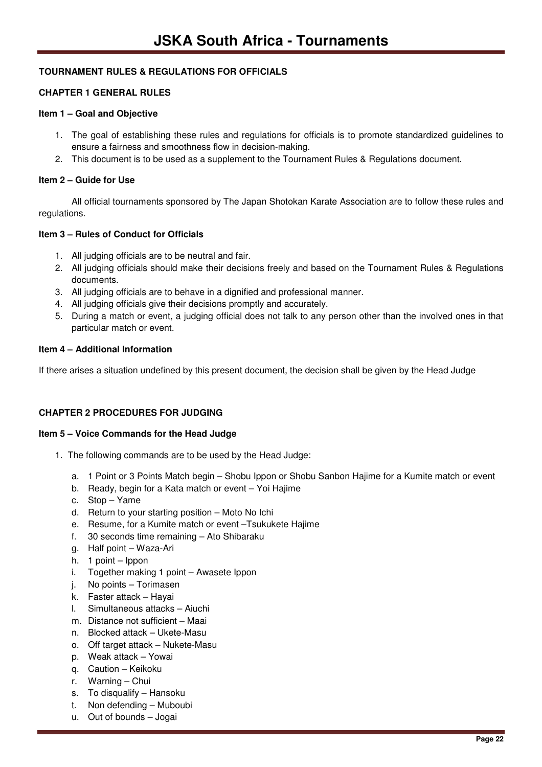# **TOURNAMENT RULES & REGULATIONS FOR OFFICIALS**

# **CHAPTER 1 GENERAL RULES**

## **Item 1 – Goal and Objective**

- 1. The goal of establishing these rules and regulations for officials is to promote standardized guidelines to ensure a fairness and smoothness flow in decision-making.
- 2. This document is to be used as a supplement to the Tournament Rules & Regulations document.

## **Item 2 – Guide for Use**

All official tournaments sponsored by The Japan Shotokan Karate Association are to follow these rules and regulations.

# **Item 3 – Rules of Conduct for Officials**

- 1. All judging officials are to be neutral and fair.
- 2. All judging officials should make their decisions freely and based on the Tournament Rules & Regulations documents.
- 3. All judging officials are to behave in a dignified and professional manner.
- 4. All judging officials give their decisions promptly and accurately.
- 5. During a match or event, a judging official does not talk to any person other than the involved ones in that particular match or event.

#### **Item 4 – Additional Information**

If there arises a situation undefined by this present document, the decision shall be given by the Head Judge

# **CHAPTER 2 PROCEDURES FOR JUDGING**

#### **Item 5 – Voice Commands for the Head Judge**

- 1. The following commands are to be used by the Head Judge:
	- a. 1 Point or 3 Points Match begin Shobu Ippon or Shobu Sanbon Hajime for a Kumite match or event
	- b. Ready, begin for a Kata match or event Yoi Hajime
	- c. Stop Yame
	- d. Return to your starting position Moto No Ichi
	- e. Resume, for a Kumite match or event –Tsukukete Hajime
	- f. 30 seconds time remaining Ato Shibaraku
	- g. Half point Waza-Ari
	- h. 1 point Ippon
	- i. Together making 1 point Awasete Ippon
	- j. No points Torimasen
	- k. Faster attack Hayai
	- l. Simultaneous attacks Aiuchi
	- m. Distance not sufficient Maai
	- n. Blocked attack Ukete-Masu
	- o. Off target attack Nukete-Masu
	- p. Weak attack Yowai
	- q. Caution Keikoku
	- r. Warning Chui
	- s. To disqualify Hansoku
	- t. Non defending Muboubi
	- u. Out of bounds Jogai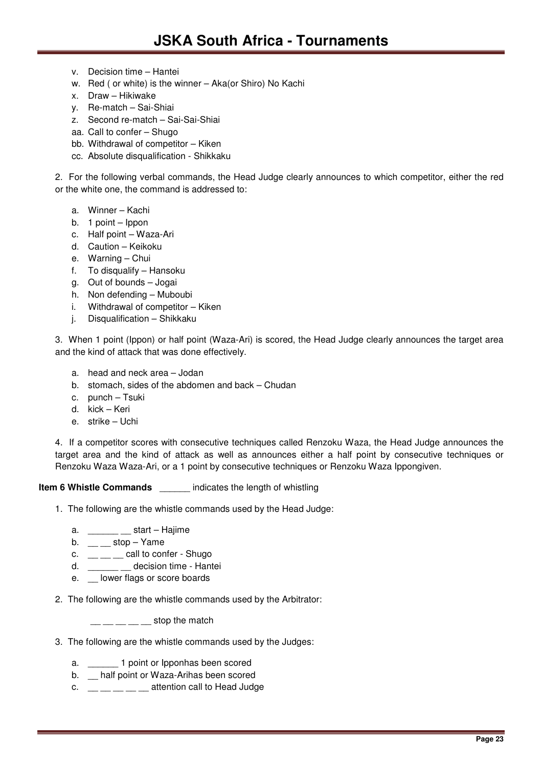- v. Decision time Hantei
- w. Red ( or white) is the winner Aka(or Shiro) No Kachi
- x. Draw Hikiwake
- y. Re-match Sai-Shiai
- z. Second re-match Sai-Sai-Shiai
- aa. Call to confer Shugo
- bb. Withdrawal of competitor Kiken
- cc. Absolute disqualification Shikkaku

2. For the following verbal commands, the Head Judge clearly announces to which competitor, either the red or the white one, the command is addressed to:

- a. Winner Kachi
- b. 1 point Ippon
- c. Half point Waza-Ari
- d. Caution Keikoku
- e. Warning Chui
- f. To disqualify Hansoku
- g. Out of bounds Jogai
- h. Non defending Muboubi
- i. Withdrawal of competitor Kiken
- j. Disqualification Shikkaku

3. When 1 point (Ippon) or half point (Waza-Ari) is scored, the Head Judge clearly announces the target area and the kind of attack that was done effectively.

- a. head and neck area Jodan
- b. stomach, sides of the abdomen and back Chudan
- c. punch Tsuki
- d. kick Keri
- e. strike Uchi

4. If a competitor scores with consecutive techniques called Renzoku Waza, the Head Judge announces the target area and the kind of attack as well as announces either a half point by consecutive techniques or Renzoku Waza Waza-Ari, or a 1 point by consecutive techniques or Renzoku Waza Ippongiven.

# **Item 6 Whistle Commands indicates the length of whistling**

- 1. The following are the whistle commands used by the Head Judge:
	- a. \_\_\_\_\_\_\_ \_\_ start Hajime
	- b.  $\_\_\_\_$  stop Yame
	- c. \_\_\_\_ call to confer Shugo
	- d. \_\_\_\_\_\_\_ \_\_ decision time Hantei
	- e. lower flags or score boards
- 2. The following are the whistle commands used by the Arbitrator:

 $\frac{1}{1}$   $\frac{1}{1}$   $\frac{1}{1}$   $\frac{1}{1}$   $\frac{1}{1}$  stop the match

- 3. The following are the whistle commands used by the Judges:
	- a. \_\_\_\_\_\_ 1 point or Ipponhas been scored
	- b. \_ half point or Waza-Arihas been scored
	- c.  $\frac{1}{2}$  \_\_ \_ \_ \_ \_ attention call to Head Judge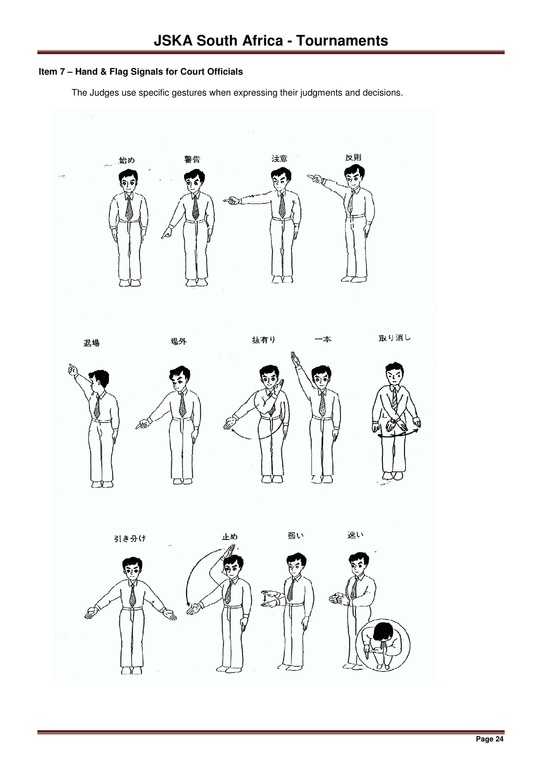# **Item 7 – Hand & Flag Signals for Court Officials**

The Judges use specific gestures when expressing their judgments and decisions.





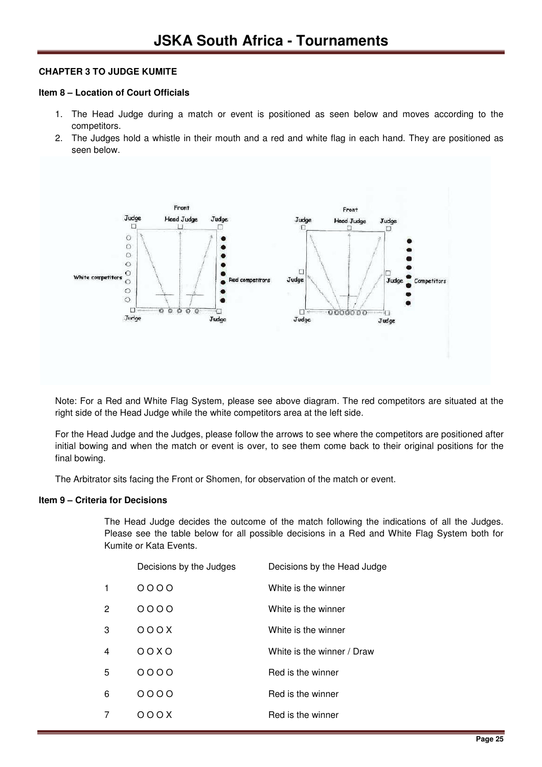## **CHAPTER 3 TO JUDGE KUMITE**

#### **Item 8 – Location of Court Officials**

- 1. The Head Judge during a match or event is positioned as seen below and moves according to the competitors.
- 2. The Judges hold a whistle in their mouth and a red and white flag in each hand. They are positioned as seen below.



Note: For a Red and White Flag System, please see above diagram. The red competitors are situated at the right side of the Head Judge while the white competitors area at the left side.

For the Head Judge and the Judges, please follow the arrows to see where the competitors are positioned after initial bowing and when the match or event is over, to see them come back to their original positions for the final bowing.

The Arbitrator sits facing the Front or Shomen, for observation of the match or event.

## **Item 9 – Criteria for Decisions**

The Head Judge decides the outcome of the match following the indications of all the Judges. Please see the table below for all possible decisions in a Red and White Flag System both for Kumite or Kata Events.

|   | Decisions by the Judges | Decisions by the Head Judge |
|---|-------------------------|-----------------------------|
| 1 | 0000                    | White is the winner         |
| 2 | 0000                    | White is the winner         |
| 3 | 000X                    | White is the winner         |
| 4 | 00X0                    | White is the winner / Draw  |
| 5 | 0000                    | Red is the winner           |
| 6 | 0000                    | Red is the winner           |
|   | 000x                    | Red is the winner           |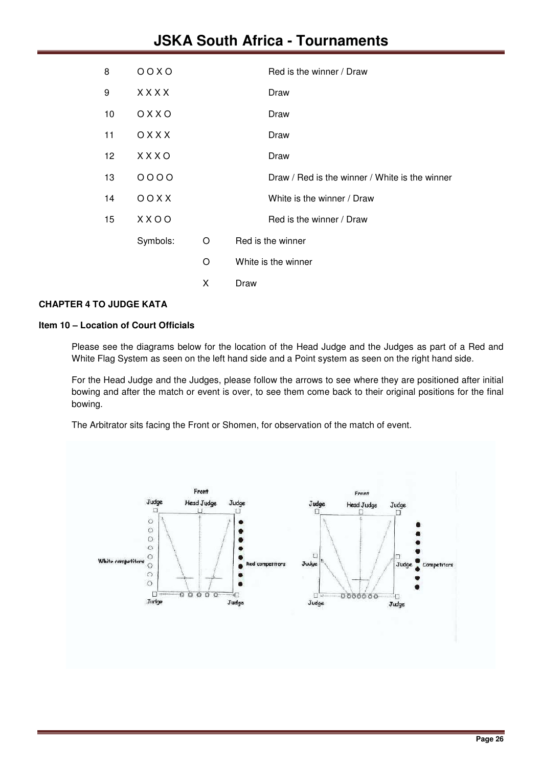# **JSKA South Africa - Tournaments**

| 8  | 00X0        |   | Red is the winner / Draw                       |
|----|-------------|---|------------------------------------------------|
| 9  | <b>XXXX</b> |   | Draw                                           |
| 10 | OXXO        |   | Draw                                           |
| 11 | OXXX        |   | Draw                                           |
| 12 | XXXO        |   | Draw                                           |
| 13 | $0000$      |   | Draw / Red is the winner / White is the winner |
| 14 | OOXX        |   | White is the winner / Draw                     |
| 15 | <b>XXOO</b> |   | Red is the winner / Draw                       |
|    | Symbols:    | O | Red is the winner                              |
|    |             | O | White is the winner                            |
|    |             | X | Draw                                           |

# **CHAPTER 4 TO JUDGE KATA**

## **Item 10 – Location of Court Officials**

Please see the diagrams below for the location of the Head Judge and the Judges as part of a Red and White Flag System as seen on the left hand side and a Point system as seen on the right hand side.

For the Head Judge and the Judges, please follow the arrows to see where they are positioned after initial bowing and after the match or event is over, to see them come back to their original positions for the final bowing.

The Arbitrator sits facing the Front or Shomen, for observation of the match of event.

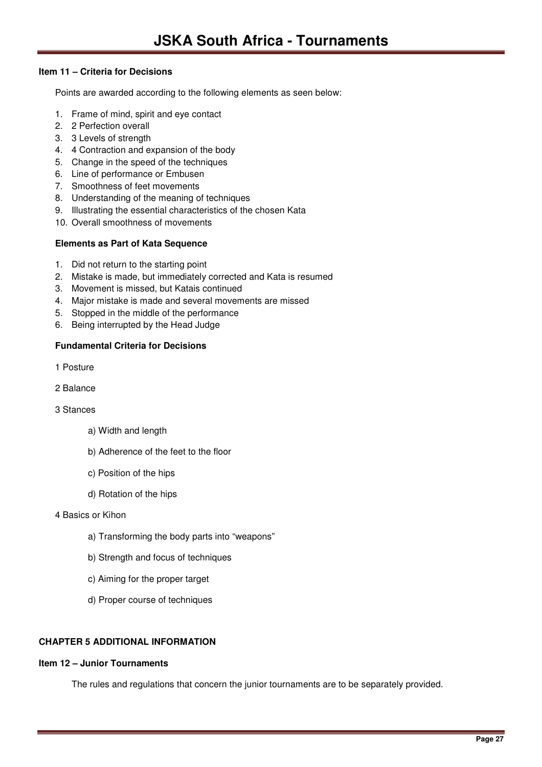## **Item 11 – Criteria for Decisions**

Points are awarded according to the following elements as seen below:

- 1. Frame of mind, spirit and eye contact
- 2. 2 Perfection overall
- 3. 3 Levels of strength
- 4. 4 Contraction and expansion of the body
- 5. Change in the speed of the techniques
- 6. Line of performance or Embusen
- 7. Smoothness of feet movements
- 8. Understanding of the meaning of techniques
- 9. Illustrating the essential characteristics of the chosen Kata
- 10. Overall smoothness of movements

## **Elements as Part of Kata Sequence**

- 1. Did not return to the starting point
- 2. Mistake is made, but immediately corrected and Kata is resumed
- 3. Movement is missed, but Katais continued
- 4. Major mistake is made and several movements are missed
- 5. Stopped in the middle of the performance
- 6. Being interrupted by the Head Judge

## **Fundamental Criteria for Decisions**

- 1 Posture
- 2 Balance
- 3 Stances
	- a) Width and length
	- b) Adherence of the feet to the floor
	- c) Position of the hips
	- d) Rotation of the hips
- 4 Basics or Kihon
	- a) Transforming the body parts into "weapons"
	- b) Strength and focus of techniques
	- c) Aiming for the proper target
	- d) Proper course of techniques

#### **CHAPTER 5 ADDITIONAL INFORMATION**

## **Item 12 – Junior Tournaments**

The rules and regulations that concern the junior tournaments are to be separately provided.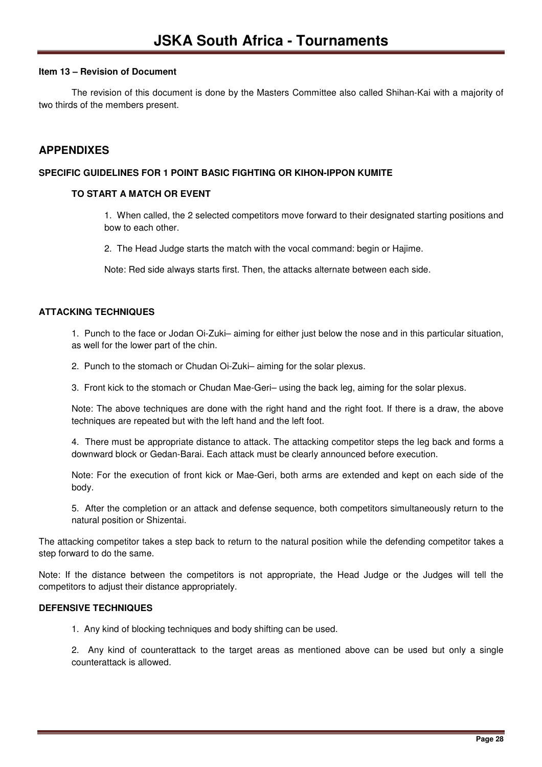#### **Item 13 – Revision of Document**

The revision of this document is done by the Masters Committee also called Shihan-Kai with a majority of two thirds of the members present.

# **APPENDIXES**

## **SPECIFIC GUIDELINES FOR 1 POINT BASIC FIGHTING OR KIHON-IPPON KUMITE**

### **TO START A MATCH OR EVENT**

1. When called, the 2 selected competitors move forward to their designated starting positions and bow to each other.

2. The Head Judge starts the match with the vocal command: begin or Hajime.

Note: Red side always starts first. Then, the attacks alternate between each side.

#### **ATTACKING TECHNIQUES**

1. Punch to the face or Jodan Oi-Zuki– aiming for either just below the nose and in this particular situation, as well for the lower part of the chin.

2. Punch to the stomach or Chudan Oi-Zuki– aiming for the solar plexus.

3. Front kick to the stomach or Chudan Mae-Geri– using the back leg, aiming for the solar plexus.

Note: The above techniques are done with the right hand and the right foot. If there is a draw, the above techniques are repeated but with the left hand and the left foot.

4. There must be appropriate distance to attack. The attacking competitor steps the leg back and forms a downward block or Gedan-Barai. Each attack must be clearly announced before execution.

Note: For the execution of front kick or Mae-Geri, both arms are extended and kept on each side of the body.

5. After the completion or an attack and defense sequence, both competitors simultaneously return to the natural position or Shizentai.

The attacking competitor takes a step back to return to the natural position while the defending competitor takes a step forward to do the same.

Note: If the distance between the competitors is not appropriate, the Head Judge or the Judges will tell the competitors to adjust their distance appropriately.

#### **DEFENSIVE TECHNIQUES**

1. Any kind of blocking techniques and body shifting can be used.

2. Any kind of counterattack to the target areas as mentioned above can be used but only a single counterattack is allowed.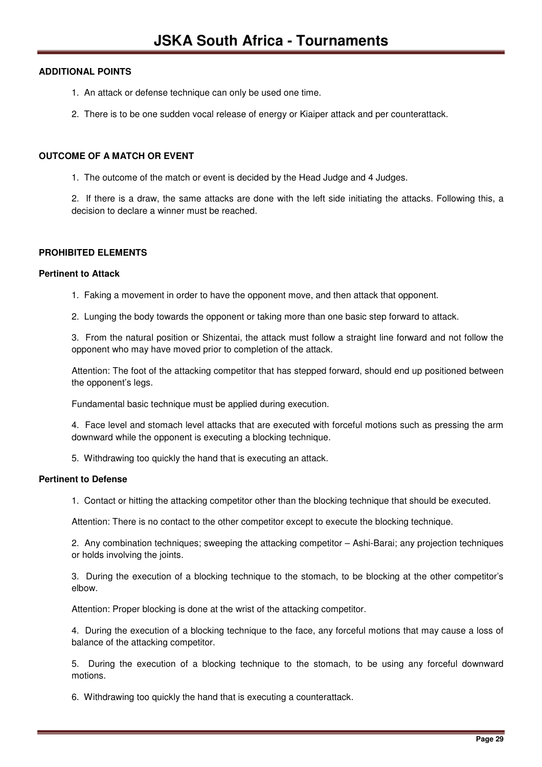## **ADDITIONAL POINTS**

- 1. An attack or defense technique can only be used one time.
- 2. There is to be one sudden vocal release of energy or Kiaiper attack and per counterattack.

# **OUTCOME OF A MATCH OR EVENT**

1. The outcome of the match or event is decided by the Head Judge and 4 Judges.

2. If there is a draw, the same attacks are done with the left side initiating the attacks. Following this, a decision to declare a winner must be reached.

#### **PROHIBITED ELEMENTS**

## **Pertinent to Attack**

- 1. Faking a movement in order to have the opponent move, and then attack that opponent.
- 2. Lunging the body towards the opponent or taking more than one basic step forward to attack.

3. From the natural position or Shizentai, the attack must follow a straight line forward and not follow the opponent who may have moved prior to completion of the attack.

Attention: The foot of the attacking competitor that has stepped forward, should end up positioned between the opponent's legs.

Fundamental basic technique must be applied during execution.

4. Face level and stomach level attacks that are executed with forceful motions such as pressing the arm downward while the opponent is executing a blocking technique.

5. Withdrawing too quickly the hand that is executing an attack.

#### **Pertinent to Defense**

1. Contact or hitting the attacking competitor other than the blocking technique that should be executed.

Attention: There is no contact to the other competitor except to execute the blocking technique.

2. Any combination techniques; sweeping the attacking competitor – Ashi-Barai; any projection techniques or holds involving the joints.

3. During the execution of a blocking technique to the stomach, to be blocking at the other competitor's elbow.

Attention: Proper blocking is done at the wrist of the attacking competitor.

4. During the execution of a blocking technique to the face, any forceful motions that may cause a loss of balance of the attacking competitor.

5. During the execution of a blocking technique to the stomach, to be using any forceful downward motions.

6. Withdrawing too quickly the hand that is executing a counterattack.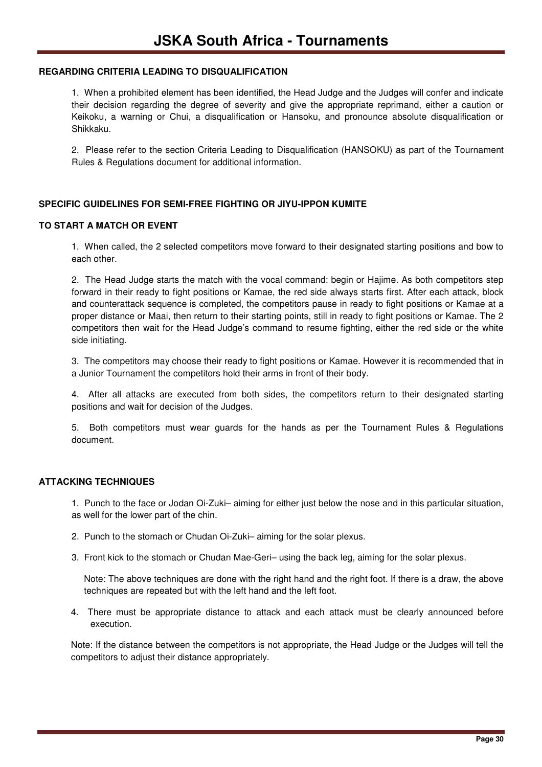## **REGARDING CRITERIA LEADING TO DISQUALIFICATION**

1. When a prohibited element has been identified, the Head Judge and the Judges will confer and indicate their decision regarding the degree of severity and give the appropriate reprimand, either a caution or Keikoku, a warning or Chui, a disqualification or Hansoku, and pronounce absolute disqualification or Shikkaku.

2. Please refer to the section Criteria Leading to Disqualification (HANSOKU) as part of the Tournament Rules & Regulations document for additional information.

## **SPECIFIC GUIDELINES FOR SEMI-FREE FIGHTING OR JIYU-IPPON KUMITE**

## **TO START A MATCH OR EVENT**

1. When called, the 2 selected competitors move forward to their designated starting positions and bow to each other.

2. The Head Judge starts the match with the vocal command: begin or Hajime. As both competitors step forward in their ready to fight positions or Kamae, the red side always starts first. After each attack, block and counterattack sequence is completed, the competitors pause in ready to fight positions or Kamae at a proper distance or Maai, then return to their starting points, still in ready to fight positions or Kamae. The 2 competitors then wait for the Head Judge's command to resume fighting, either the red side or the white side initiating.

3. The competitors may choose their ready to fight positions or Kamae. However it is recommended that in a Junior Tournament the competitors hold their arms in front of their body.

4. After all attacks are executed from both sides, the competitors return to their designated starting positions and wait for decision of the Judges.

5. Both competitors must wear guards for the hands as per the Tournament Rules & Regulations document.

#### **ATTACKING TECHNIQUES**

1. Punch to the face or Jodan Oi-Zuki– aiming for either just below the nose and in this particular situation, as well for the lower part of the chin.

- 2. Punch to the stomach or Chudan Oi-Zuki– aiming for the solar plexus.
- 3. Front kick to the stomach or Chudan Mae-Geri– using the back leg, aiming for the solar plexus.

Note: The above techniques are done with the right hand and the right foot. If there is a draw, the above techniques are repeated but with the left hand and the left foot.

4. There must be appropriate distance to attack and each attack must be clearly announced before execution.

Note: If the distance between the competitors is not appropriate, the Head Judge or the Judges will tell the competitors to adjust their distance appropriately.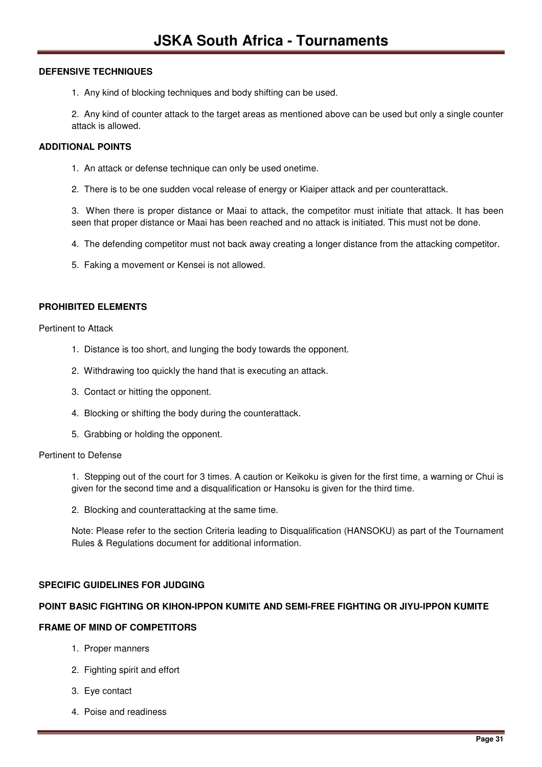#### **DEFENSIVE TECHNIQUES**

1. Any kind of blocking techniques and body shifting can be used.

2. Any kind of counter attack to the target areas as mentioned above can be used but only a single counter attack is allowed.

# **ADDITIONAL POINTS**

- 1. An attack or defense technique can only be used onetime.
- 2. There is to be one sudden vocal release of energy or Kiaiper attack and per counterattack.

3. When there is proper distance or Maai to attack, the competitor must initiate that attack. It has been seen that proper distance or Maai has been reached and no attack is initiated. This must not be done.

- 4. The defending competitor must not back away creating a longer distance from the attacking competitor.
- 5. Faking a movement or Kensei is not allowed.

#### **PROHIBITED ELEMENTS**

#### Pertinent to Attack

- 1. Distance is too short, and lunging the body towards the opponent.
- 2. Withdrawing too quickly the hand that is executing an attack.
- 3. Contact or hitting the opponent.
- 4. Blocking or shifting the body during the counterattack.
- 5. Grabbing or holding the opponent.

#### Pertinent to Defense

1. Stepping out of the court for 3 times. A caution or Keikoku is given for the first time, a warning or Chui is given for the second time and a disqualification or Hansoku is given for the third time.

2. Blocking and counterattacking at the same time.

Note: Please refer to the section Criteria leading to Disqualification (HANSOKU) as part of the Tournament Rules & Regulations document for additional information.

#### **SPECIFIC GUIDELINES FOR JUDGING**

#### **POINT BASIC FIGHTING OR KIHON-IPPON KUMITE AND SEMI-FREE FIGHTING OR JIYU-IPPON KUMITE**

#### **FRAME OF MIND OF COMPETITORS**

- 1. Proper manners
- 2. Fighting spirit and effort
- 3. Eye contact
- 4. Poise and readiness